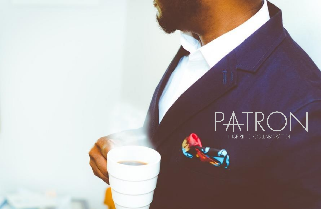# PATRON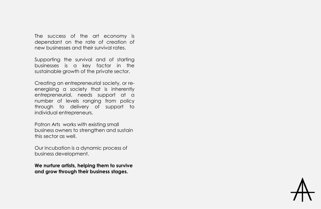The success of the art economy is dependant on the rate of creation of new businesses and their survival rates.

Supporting the survival and of starting businesses is a key factor in the sustainable growth of the private sector.

Creating an entrepreneurial society, or reenergising a society that is inherently entrepreneurial, needs support at a number of levels ranging from policy through to delivery of support to individual entrepreneurs.

Patron Arts works with existing small business owners to strengthen and sustain this sector as well.

Our incubation is a dynamic process of business development.

**We nurture artists, helping them to survive and grow through their business stages.**

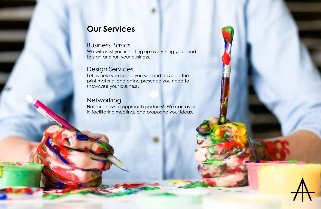## **Our Services**

#### Business Basics

We will assist you in setting up everything you need to start and run your business.

### Design Services

Let us help you brand yourself and develop the print material and online presence you need to showcase your business.

#### **Networking**

Not sure how to approach partners? We can assist in facilitating meetings and proposing your ideas.

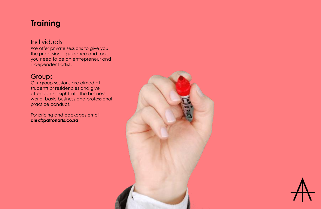## **Training**

#### Individuals

We offer private sessions to give you the professional guidance and tools you need to be an entrepreneur and independent artist.

#### **Groups**

Our group sessions are aimed at students or residencies and give attendants insight into the business world, basic business and professional practice conduct.

For pricing and packages email **alex@patronarts.co.za**